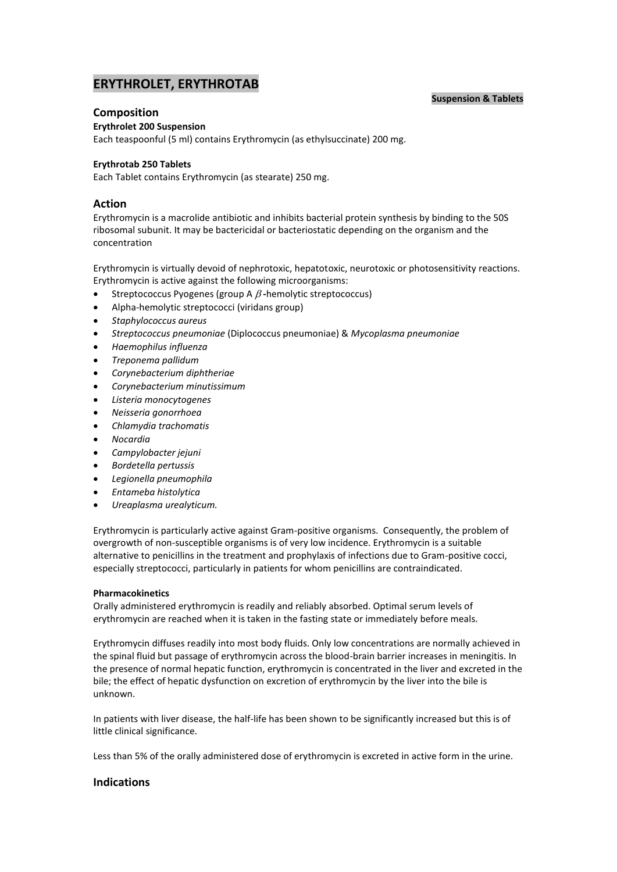## **Suspension & Tablets**

# **ERYTHROLET, ERYTHROTAB**

## **Composition**

## **Erythrolet 200 Suspension**

Each teaspoonful (5 ml) contains Erythromycin (as ethylsuccinate) 200 mg.

## **Erythrotab 250 Tablets**

Each Tablet contains Erythromycin (as stearate) 250 mg.

## **Action**

Erythromycin is a macrolide antibiotic and inhibits bacterial protein synthesis by binding to the 50S ribosomal subunit. It may be bactericidal or bacteriostatic depending on the organism and the concentration

Erythromycin is virtually devoid of nephrotoxic, hepatotoxic, neurotoxic or photosensitivity reactions. Erythromycin is active against the following microorganisms:

- **Streptococcus Pyogenes (group A**  $\beta$ **-hemolytic streptococcus)**
- Alpha-hemolytic streptococci (viridans group)
- *Staphylococcus aureus*
- *Streptococcus pneumoniae* (Diplococcus pneumoniae) & *Mycoplasma pneumoniae*
- *Haemophilus influenza*
- *Treponema pallidum*
- *Corynebacterium diphtheriae*
- *Corynebacterium minutissimum*
- *Listeria monocytogenes*
- *Neisseria gonorrhoea*
- *Chlamydia trachomatis*
- *Nocardia*
- *Campylobacter jejuni*
- *Bordetella pertussis*
- *Legionella pneumophila*
- *Entameba histolytica*
- *Ureaplasma urealyticum.*

Erythromycin is particularly active against Gram-positive organisms. Consequently, the problem of overgrowth of non-susceptible organisms is of very low incidence. Erythromycin is a suitable alternative to penicillins in the treatment and prophylaxis of infections due to Gram-positive cocci, especially streptococci, particularly in patients for whom penicillins are contraindicated.

## **Pharmacokinetics**

Orally administered erythromycin is readily and reliably absorbed. Optimal serum levels of erythromycin are reached when it is taken in the fasting state or immediately before meals.

Erythromycin diffuses readily into most body fluids. Only low concentrations are normally achieved in the spinal fluid but passage of erythromycin across the blood-brain barrier increases in meningitis. In the presence of normal hepatic function, erythromycin is concentrated in the liver and excreted in the bile; the effect of hepatic dysfunction on excretion of erythromycin by the liver into the bile is unknown.

In patients with liver disease, the half-life has been shown to be significantly increased but this is of little clinical significance.

Less than 5% of the orally administered dose of erythromycin is excreted in active form in the urine.

## **Indications**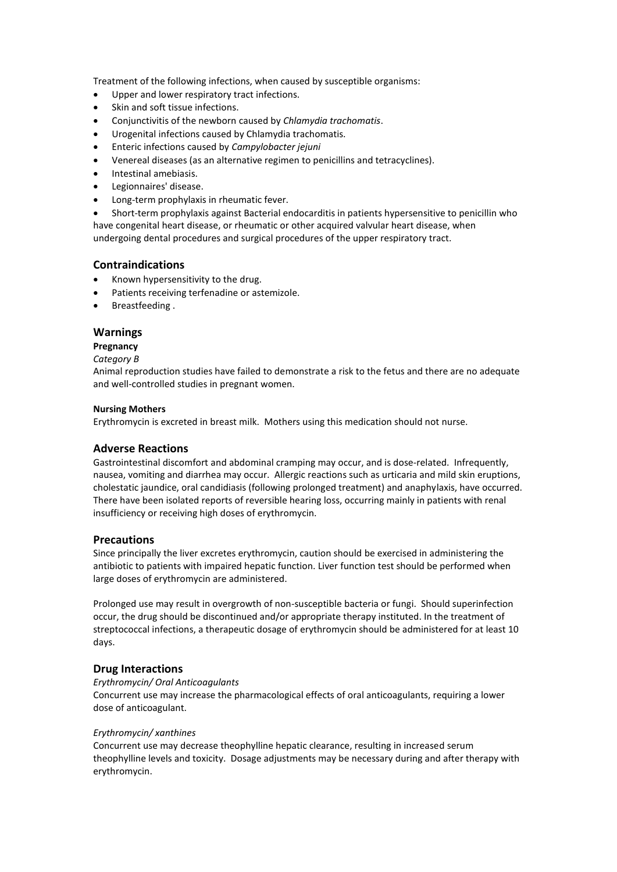Treatment of the following infections, when caused by susceptible organisms:

- Upper and lower respiratory tract infections.
- Skin and soft tissue infections.
- Conjunctivitis of the newborn caused by *Chlamydia trachomatis*.
- Urogenital infections caused by Chlamydia trachomatis.
- Enteric infections caused by *Campylobacter jejuni*
- Venereal diseases (as an alternative regimen to penicillins and tetracyclines).
- Intestinal amebiasis.
- Legionnaires' disease.
- Long-term prophylaxis in rheumatic fever.

 Short-term prophylaxis against Bacterial endocarditis in patients hypersensitive to penicillin who have congenital heart disease, or rheumatic or other acquired valvular heart disease, when undergoing dental procedures and surgical procedures of the upper respiratory tract.

## **Contraindications**

- Known hypersensitivity to the drug.
- Patients receiving terfenadine or astemizole.
- Breastfeeding .

## **Warnings**

## **Pregnancy**

## *Category B*

Animal reproduction studies have failed to demonstrate a risk to the fetus and there are no adequate and well-controlled studies in pregnant women.

## **Nursing Mothers**

Erythromycin is excreted in breast milk. Mothers using this medication should not nurse.

## **Adverse Reactions**

Gastrointestinal discomfort and abdominal cramping may occur, and is dose-related. Infrequently, nausea, vomiting and diarrhea may occur. Allergic reactions such as urticaria and mild skin eruptions, cholestatic jaundice, oral candidiasis (following prolonged treatment) and anaphylaxis, have occurred. There have been isolated reports of reversible hearing loss, occurring mainly in patients with renal insufficiency or receiving high doses of erythromycin.

## **Precautions**

Since principally the liver excretes erythromycin, caution should be exercised in administering the antibiotic to patients with impaired hepatic function. Liver function test should be performed when large doses of erythromycin are administered.

Prolonged use may result in overgrowth of non-susceptible bacteria or fungi. Should superinfection occur, the drug should be discontinued and/or appropriate therapy instituted. In the treatment of streptococcal infections, a therapeutic dosage of erythromycin should be administered for at least 10 days.

## **Drug Interactions**

## *Erythromycin/ Oral Anticoagulants*

Concurrent use may increase the pharmacological effects of oral anticoagulants, requiring a lower dose of anticoagulant.

## *Erythromycin/ xanthines*

Concurrent use may decrease theophylline hepatic clearance, resulting in increased serum theophylline levels and toxicity. Dosage adjustments may be necessary during and after therapy with erythromycin.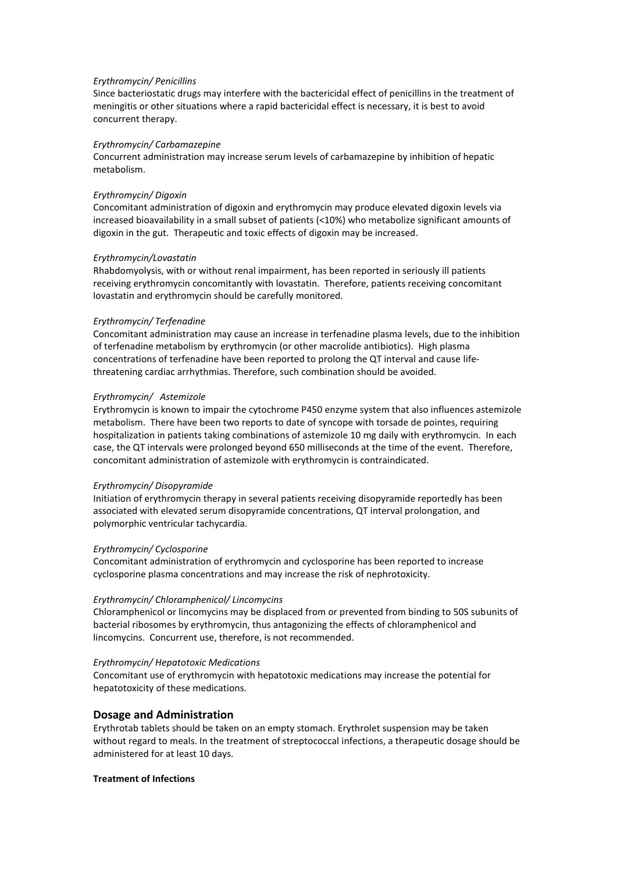### *Erythromycin/ Penicillins*

Since bacteriostatic drugs may interfere with the bactericidal effect of penicillins in the treatment of meningitis or other situations where a rapid bactericidal effect is necessary, it is best to avoid concurrent therapy.

### *Erythromycin/ Carbamazepine*

Concurrent administration may increase serum levels of carbamazepine by inhibition of hepatic metabolism.

#### *Erythromycin/ Digoxin*

Concomitant administration of digoxin and erythromycin may produce elevated digoxin levels via increased bioavailability in a small subset of patients (<10%) who metabolize significant amounts of digoxin in the gut. Therapeutic and toxic effects of digoxin may be increased.

### *Erythromycin/Lovastatin*

Rhabdomyolysis, with or without renal impairment, has been reported in seriously ill patients receiving erythromycin concomitantly with lovastatin. Therefore, patients receiving concomitant lovastatin and erythromycin should be carefully monitored.

### *Erythromycin/ Terfenadine*

Concomitant administration may cause an increase in terfenadine plasma levels, due to the inhibition of terfenadine metabolism by erythromycin (or other macrolide antibiotics). High plasma concentrations of terfenadine have been reported to prolong the QT interval and cause lifethreatening cardiac arrhythmias. Therefore, such combination should be avoided.

### *Erythromycin/ Astemizole*

Erythromycin is known to impair the cytochrome P450 enzyme system that also influences astemizole metabolism. There have been two reports to date of syncope with torsade de pointes, requiring hospitalization in patients taking combinations of astemizole 10 mg daily with erythromycin. In each case, the QT intervals were prolonged beyond 650 milliseconds at the time of the event. Therefore, concomitant administration of astemizole with erythromycin is contraindicated.

#### *Erythromycin/ Disopyramide*

Initiation of erythromycin therapy in several patients receiving disopyramide reportedly has been associated with elevated serum disopyramide concentrations, QT interval prolongation, and polymorphic ventricular tachycardia.

### *Erythromycin/ Cyclosporine*

Concomitant administration of erythromycin and cyclosporine has been reported to increase cyclosporine plasma concentrations and may increase the risk of nephrotoxicity.

### *Erythromycin/ Chloramphenicol/ Lincomycins*

Chloramphenicol or lincomycins may be displaced from or prevented from binding to 50S subunits of bacterial ribosomes by erythromycin, thus antagonizing the effects of chloramphenicol and lincomycins. Concurrent use, therefore, is not recommended.

### *Erythromycin/ Hepatotoxic Medications*

Concomitant use of erythromycin with hepatotoxic medications may increase the potential for hepatotoxicity of these medications.

### **Dosage and Administration**

Erythrotab tablets should be taken on an empty stomach. Erythrolet suspension may be taken without regard to meals. In the treatment of streptococcal infections, a therapeutic dosage should be administered for at least 10 days.

### **Treatment of Infections**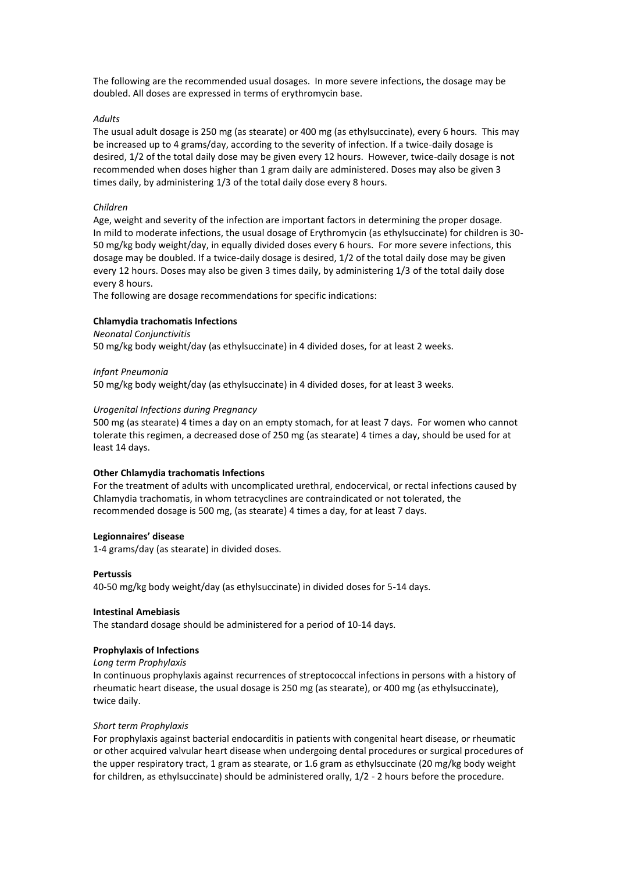The following are the recommended usual dosages. In more severe infections, the dosage may be doubled. All doses are expressed in terms of erythromycin base.

### *Adults*

The usual adult dosage is 250 mg (as stearate) or 400 mg (as ethylsuccinate), every 6 hours. This may be increased up to 4 grams/day, according to the severity of infection. If a twice-daily dosage is desired, 1/2 of the total daily dose may be given every 12 hours. However, twice-daily dosage is not recommended when doses higher than 1 gram daily are administered. Doses may also be given 3 times daily, by administering 1/3 of the total daily dose every 8 hours.

#### *Children*

Age, weight and severity of the infection are important factors in determining the proper dosage. In mild to moderate infections, the usual dosage of Erythromycin (as ethylsuccinate) for children is 30- 50 mg/kg body weight/day, in equally divided doses every 6 hours. For more severe infections, this dosage may be doubled. If a twice-daily dosage is desired, 1/2 of the total daily dose may be given every 12 hours. Doses may also be given 3 times daily, by administering 1/3 of the total daily dose every 8 hours.

The following are dosage recommendations for specific indications:

### **Chlamydia trachomatis Infections**

### *Neonatal Conjunctivitis*

50 mg/kg body weight/day (as ethylsuccinate) in 4 divided doses, for at least 2 weeks.

### *Infant Pneumonia*

50 mg/kg body weight/day (as ethylsuccinate) in 4 divided doses, for at least 3 weeks.

### *Urogenital Infections during Pregnancy*

500 mg (as stearate) 4 times a day on an empty stomach, for at least 7 days. For women who cannot tolerate this regimen, a decreased dose of 250 mg (as stearate) 4 times a day, should be used for at least 14 days.

### **Other Chlamydia trachomatis Infections**

For the treatment of adults with uncomplicated urethral, endocervical, or rectal infections caused by Chlamydia trachomatis, in whom tetracyclines are contraindicated or not tolerated, the recommended dosage is 500 mg, (as stearate) 4 times a day, for at least 7 days.

### **Legionnaires' disease**

1-4 grams/day (as stearate) in divided doses.

#### **Pertussis**

40-50 mg/kg body weight/day (as ethylsuccinate) in divided doses for 5-14 days.

#### **Intestinal Amebiasis**

The standard dosage should be administered for a period of 10-14 days.

### **Prophylaxis of Infections**

*Long term Prophylaxis*

In continuous prophylaxis against recurrences of streptococcal infections in persons with a history of rheumatic heart disease, the usual dosage is 250 mg (as stearate), or 400 mg (as ethylsuccinate), twice daily.

#### *Short term Prophylaxis*

For prophylaxis against bacterial endocarditis in patients with congenital heart disease, or rheumatic or other acquired valvular heart disease when undergoing dental procedures or surgical procedures of the upper respiratory tract, 1 gram as stearate, or 1.6 gram as ethylsuccinate (20 mg/kg body weight for children, as ethylsuccinate) should be administered orally, 1/2 - 2 hours before the procedure.